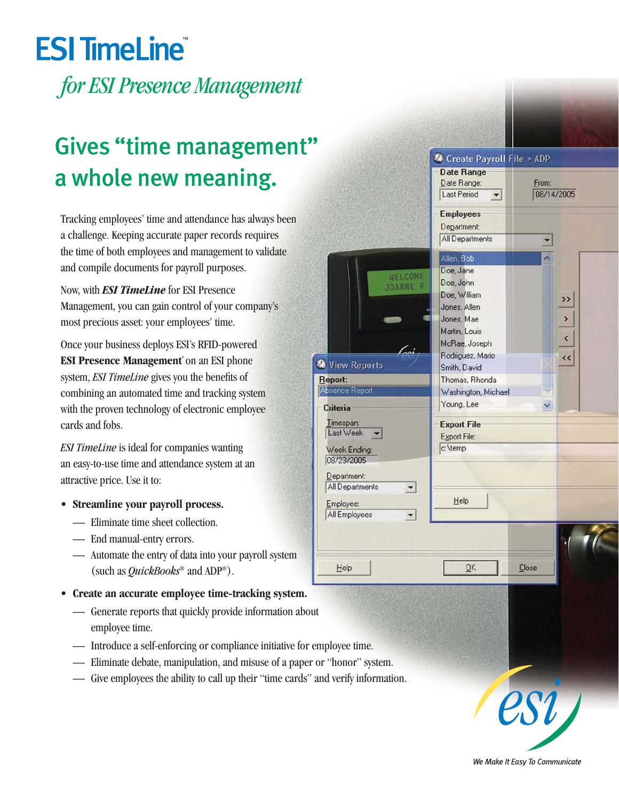## **ESI TimeLine**

*for ESI Presence Management*

## Gives "time management" a whole new meaning.

Tracking employees' time and attendance has always been a challenge. Keeping accurate paper records requires the time of both employees and management to validate and compile documents for payroll purposes.

Now, with *ESI TimeLine* for ESI Presence Management, you can gain control of your company's most precious asset: your employees' time.

Once your business deploys ESI's RFID-powered **ESI Presence Management**\* on an ESI phone system, *ESI TimeLine* gives you the benefits of combining an automated time and tracking system with the proven technology of electronic employee cards and fobs.

*ESI TimeLine* is ideal for companies wanting an easy-to-use time and attendance system at an attractive price. Use it to:

- **Streamline your payroll process.**
	- Eliminate time sheet collection.
	- End manual-entry errors.
	- Automate the entry of data into your payroll system (such as *QuickBooks*® and ADP®).
- **Create an accurate employee time-tracking system.**
	- Generate reports that quickly provide information about employee time.
	- Introduce a self-enforcing or compliance initiative for employee time.
	- Eliminate debate, manipulation, and misuse of a paper or "honor" system.
	- Give employees the ability to call up their "time cards" and verify information.



We Make It Easy To Communicate